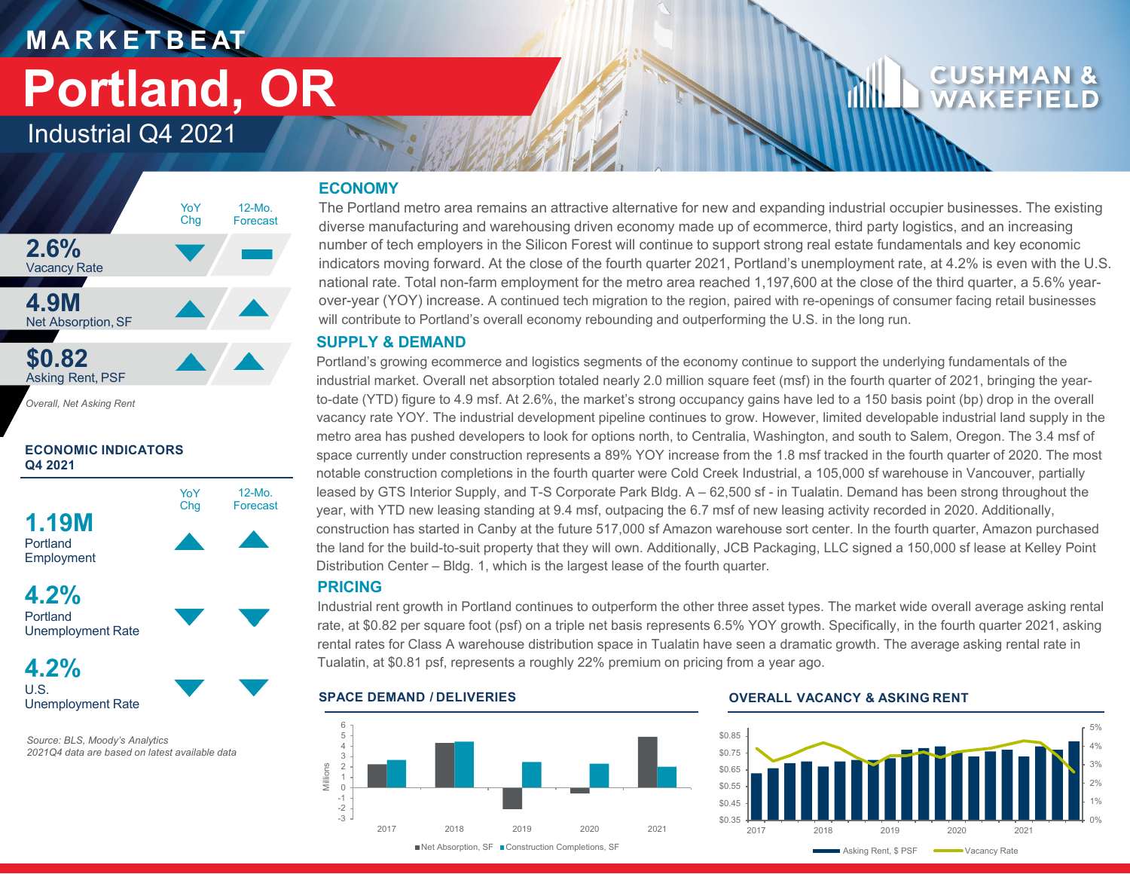# **M A R K E T B E AT Portland, OR**

## Industrial Q4 2021



*Overall, Net Asking Rent*

### **ECONOMIC INDICATORS Q4 2021**



Portland Unemployment Rate

**4.2%** U.S. Unemployment Rate

*Source: BLS, Moody's Analytics 2021Q4 data are based on latest available data*

### **ECONOMY**

The Portland metro area remains an attractive alternative for new and expanding industrial occupier businesses. The existing diverse manufacturing and warehousing driven economy made up of ecommerce, third party logistics, and an increasing number of tech employers in the Silicon Forest will continue to support strong real estate fundamentals and key economic indicators moving forward. At the close of the fourth quarter 2021, Portland's unemployment rate, at 4.2% is even with the U.S. national rate. Total non-farm employment for the metro area reached 1,197,600 at the close of the third quarter, a 5.6% yearover-year (YOY) increase. A continued tech migration to the region, paired with re-openings of consumer facing retail businesses will contribute to Portland's overall economy rebounding and outperforming the U.S. in the long run.

### **SUPPLY & DEMAND**

Portland's growing ecommerce and logistics segments of the economy continue to support the underlying fundamentals of the industrial market. Overall net absorption totaled nearly 2.0 million square feet (msf) in the fourth quarter of 2021, bringing the yearto-date (YTD) figure to 4.9 msf. At 2.6%, the market's strong occupancy gains have led to a 150 basis point (bp) drop in the overall vacancy rate YOY. The industrial development pipeline continues to grow. However, limited developable industrial land supply in the metro area has pushed developers to look for options north, to Centralia, Washington, and south to Salem, Oregon. The 3.4 msf of space currently under construction represents a 89% YOY increase from the 1.8 msf tracked in the fourth quarter of 2020. The most notable construction completions in the fourth quarter were Cold Creek Industrial, a 105,000 sf warehouse in Vancouver, partially leased by GTS Interior Supply, and T-S Corporate Park Bldg. A – 62,500 sf - in Tualatin. Demand has been strong throughout the year, with YTD new leasing standing at 9.4 msf, outpacing the 6.7 msf of new leasing activity recorded in 2020. Additionally, construction has started in Canby at the future 517,000 sf Amazon warehouse sort center. In the fourth quarter, Amazon purchased the land for the build-to-suit property that they will own. Additionally, JCB Packaging, LLC signed a 150,000 sf lease at Kelley Point Distribution Center – Bldg. 1, which is the largest lease of the fourth quarter.

### **PRICING**

Industrial rent growth in Portland continues to outperform the other three asset types. The market wide overall average asking rental rate, at \$0.82 per square foot (psf) on a triple net basis represents 6.5% YOY growth. Specifically, in the fourth quarter 2021, asking rental rates for Class A warehouse distribution space in Tualatin have seen a dramatic growth. The average asking rental rate in Tualatin, at \$0.81 psf, represents a roughly 22% premium on pricing from a year ago.



### **SPACE DEMAND / DELIVERIES OVERALL VACANCY & ASKING RENT**